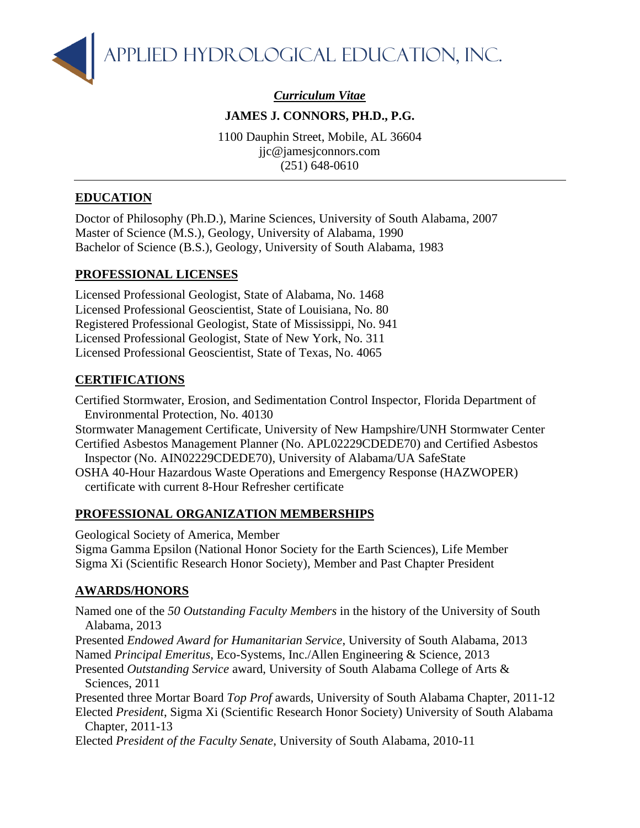

*Curriculum Vitae*

## **JAMES J. CONNORS, PH.D., P.G.**

1100 Dauphin Street, Mobile, AL 36604 jjc@jamesjconnors.com (251) 648-0610

## **EDUCATION**

Doctor of Philosophy (Ph.D.), Marine Sciences, University of South Alabama, 2007 Master of Science (M.S.), Geology, University of Alabama, 1990 Bachelor of Science (B.S.), Geology, University of South Alabama, 1983

## **PROFESSIONAL LICENSES**

Licensed Professional Geologist, State of Alabama, No. 1468 Licensed Professional Geoscientist, State of Louisiana, No. 80 Registered Professional Geologist, State of Mississippi, No. 941 Licensed Professional Geologist, State of New York, No. 311 Licensed Professional Geoscientist, State of Texas, No. 4065

## **CERTIFICATIONS**

Certified Stormwater, Erosion, and Sedimentation Control Inspector, Florida Department of Environmental Protection, No. 40130

- Stormwater Management Certificate, University of New Hampshire/UNH Stormwater Center Certified Asbestos Management Planner (No. APL02229CDEDE70) and Certified Asbestos
- Inspector (No. AIN02229CDEDE70), University of Alabama/UA SafeState
- OSHA 40-Hour Hazardous Waste Operations and Emergency Response (HAZWOPER) certificate with current 8-Hour Refresher certificate

## **PROFESSIONAL ORGANIZATION MEMBERSHIPS**

Geological Society of America, Member

Sigma Gamma Epsilon (National Honor Society for the Earth Sciences), Life Member Sigma Xi (Scientific Research Honor Society), Member and Past Chapter President

## **AWARDS/HONORS**

Named one of the *50 Outstanding Faculty Members* in the history of the University of South Alabama, 2013

Presented *Endowed Award for Humanitarian Service*, University of South Alabama, 2013 Named *Principal Emeritus*, Eco-Systems, Inc./Allen Engineering & Science, 2013

Presented *Outstanding Service* award, University of South Alabama College of Arts & Sciences, 2011

Presented three Mortar Board *Top Prof* awards, University of South Alabama Chapter, 2011-12 Elected *President*, Sigma Xi (Scientific Research Honor Society) University of South Alabama Chapter, 2011-13

Elected *President of the Faculty Senate*, University of South Alabama, 2010-11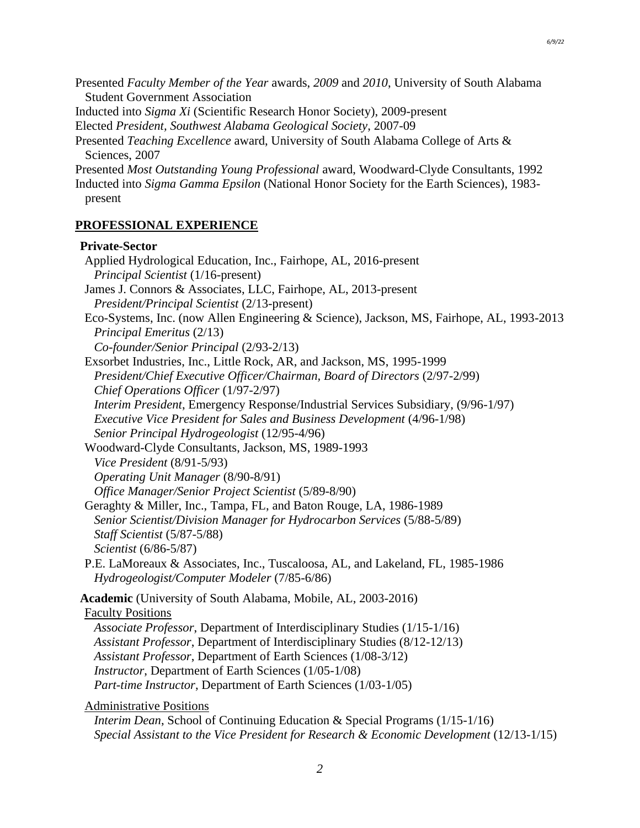Presented *Faculty Member of the Year* awards, *2009* and *2010*, University of South Alabama Student Government Association

Inducted into *Sigma Xi* (Scientific Research Honor Society), 2009-present

Elected *President, Southwest Alabama Geological Society*, 2007-09

Presented *Teaching Excellence* award, University of South Alabama College of Arts & Sciences, 2007

Presented *Most Outstanding Young Professional* award, Woodward-Clyde Consultants, 1992

Inducted into *Sigma Gamma Epsilon* (National Honor Society for the Earth Sciences), 1983 present

#### **PROFESSIONAL EXPERIENCE**

#### **Private-Sector**

Applied Hydrological Education, Inc., Fairhope, AL, 2016-present *Principal Scientist* (1/16-present) James J. Connors & Associates, LLC, Fairhope, AL, 2013-present *President/Principal Scientist* (2/13-present) Eco-Systems, Inc. (now Allen Engineering & Science), Jackson, MS, Fairhope, AL, 1993-2013 *Principal Emeritus* (2/13) *Co-founder/Senior Principal* (2/93-2/13) Exsorbet Industries, Inc., Little Rock, AR, and Jackson, MS, 1995-1999 *President/Chief Executive Officer/Chairman, Board of Directors* (2/97-2/99) *Chief Operations Officer* (1/97-2/97) *Interim President*, Emergency Response/Industrial Services Subsidiary, (9/96-1/97) *Executive Vice President for Sales and Business Development* (4/96-1/98) *Senior Principal Hydrogeologist* (12/95-4/96) Woodward-Clyde Consultants, Jackson, MS, 1989-1993 *Vice President* (8/91-5/93) *Operating Unit Manager* (8/90-8/91) *Office Manager/Senior Project Scientist* (5/89-8/90) Geraghty & Miller, Inc., Tampa, FL, and Baton Rouge, LA, 1986-1989 *Senior Scientist/Division Manager for Hydrocarbon Services* (5/88-5/89) *Staff Scientist* (5/87-5/88) *Scientist* (6/86-5/87) P.E. LaMoreaux & Associates, Inc., Tuscaloosa, AL, and Lakeland, FL, 1985-1986 *Hydrogeologist/Computer Modeler* (7/85-6/86) **Academic** (University of South Alabama, Mobile, AL, 2003-2016) Faculty Positions *Associate Professor*, Department of Interdisciplinary Studies (1/15-1/16) *Assistant Professor*, Department of Interdisciplinary Studies (8/12-12/13) *Assistant Professor*, Department of Earth Sciences (1/08-3/12) *Instructor*, Department of Earth Sciences (1/05-1/08) *Part-time Instructor*, Department of Earth Sciences (1/03-1/05) Administrative Positions

*Interim Dean*, School of Continuing Education & Special Programs (1/15-1/16) *Special Assistant to the Vice President for Research & Economic Development* (12/13-1/15)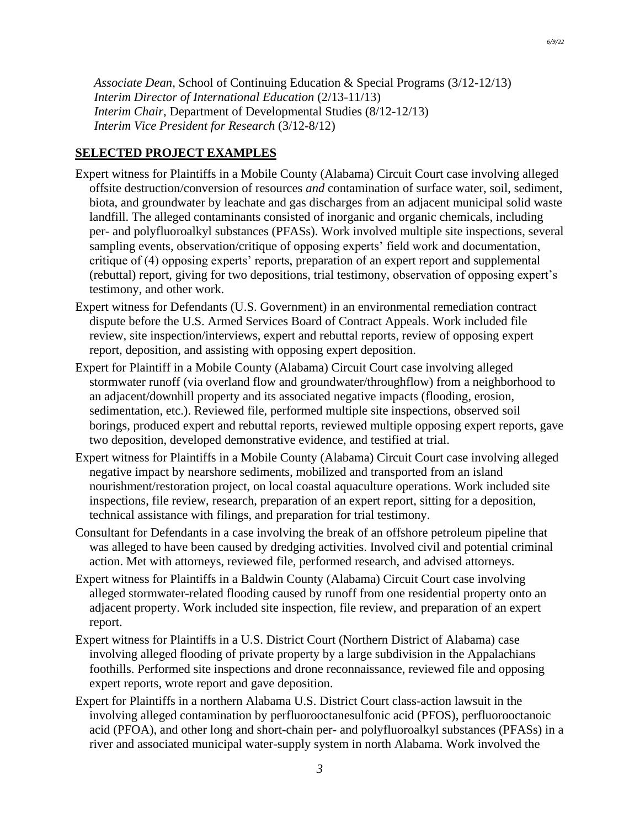*Associate Dean*, School of Continuing Education & Special Programs (3/12-12/13) *Interim Director of International Education* (2/13-11/13) *Interim Chair*, Department of Developmental Studies (8/12-12/13) *Interim Vice President for Research* (3/12-8/12)

### **SELECTED PROJECT EXAMPLES**

- Expert witness for Plaintiffs in a Mobile County (Alabama) Circuit Court case involving alleged offsite destruction/conversion of resources *and* contamination of surface water, soil, sediment, biota, and groundwater by leachate and gas discharges from an adjacent municipal solid waste landfill. The alleged contaminants consisted of inorganic and organic chemicals, including per- and polyfluoroalkyl substances (PFASs). Work involved multiple site inspections, several sampling events, observation/critique of opposing experts' field work and documentation, critique of (4) opposing experts' reports, preparation of an expert report and supplemental (rebuttal) report, giving for two depositions, trial testimony, observation of opposing expert's testimony, and other work.
- Expert witness for Defendants (U.S. Government) in an environmental remediation contract dispute before the U.S. Armed Services Board of Contract Appeals. Work included file review, site inspection/interviews, expert and rebuttal reports, review of opposing expert report, deposition, and assisting with opposing expert deposition.
- Expert for Plaintiff in a Mobile County (Alabama) Circuit Court case involving alleged stormwater runoff (via overland flow and groundwater/throughflow) from a neighborhood to an adjacent/downhill property and its associated negative impacts (flooding, erosion, sedimentation, etc.). Reviewed file, performed multiple site inspections, observed soil borings, produced expert and rebuttal reports, reviewed multiple opposing expert reports, gave two deposition, developed demonstrative evidence, and testified at trial.
- Expert witness for Plaintiffs in a Mobile County (Alabama) Circuit Court case involving alleged negative impact by nearshore sediments, mobilized and transported from an island nourishment/restoration project, on local coastal aquaculture operations. Work included site inspections, file review, research, preparation of an expert report, sitting for a deposition, technical assistance with filings, and preparation for trial testimony.
- Consultant for Defendants in a case involving the break of an offshore petroleum pipeline that was alleged to have been caused by dredging activities. Involved civil and potential criminal action. Met with attorneys, reviewed file, performed research, and advised attorneys.
- Expert witness for Plaintiffs in a Baldwin County (Alabama) Circuit Court case involving alleged stormwater-related flooding caused by runoff from one residential property onto an adjacent property. Work included site inspection, file review, and preparation of an expert report.
- Expert witness for Plaintiffs in a U.S. District Court (Northern District of Alabama) case involving alleged flooding of private property by a large subdivision in the Appalachians foothills. Performed site inspections and drone reconnaissance, reviewed file and opposing expert reports, wrote report and gave deposition.
- Expert for Plaintiffs in a northern Alabama U.S. District Court class-action lawsuit in the involving alleged contamination by perfluorooctanesulfonic acid (PFOS), perfluorooctanoic acid (PFOA), and other long and short-chain per- and polyfluoroalkyl substances (PFASs) in a river and associated municipal water-supply system in north Alabama. Work involved the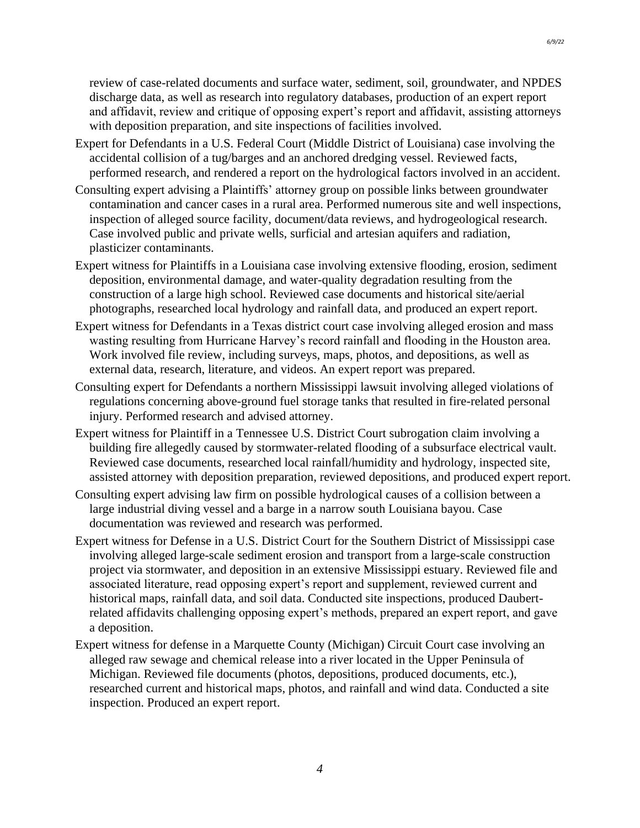review of case-related documents and surface water, sediment, soil, groundwater, and NPDES discharge data, as well as research into regulatory databases, production of an expert report and affidavit, review and critique of opposing expert's report and affidavit, assisting attorneys with deposition preparation, and site inspections of facilities involved.

- Expert for Defendants in a U.S. Federal Court (Middle District of Louisiana) case involving the accidental collision of a tug/barges and an anchored dredging vessel. Reviewed facts, performed research, and rendered a report on the hydrological factors involved in an accident.
- Consulting expert advising a Plaintiffs' attorney group on possible links between groundwater contamination and cancer cases in a rural area. Performed numerous site and well inspections, inspection of alleged source facility, document/data reviews, and hydrogeological research. Case involved public and private wells, surficial and artesian aquifers and radiation, plasticizer contaminants.
- Expert witness for Plaintiffs in a Louisiana case involving extensive flooding, erosion, sediment deposition, environmental damage, and water-quality degradation resulting from the construction of a large high school. Reviewed case documents and historical site/aerial photographs, researched local hydrology and rainfall data, and produced an expert report.
- Expert witness for Defendants in a Texas district court case involving alleged erosion and mass wasting resulting from Hurricane Harvey's record rainfall and flooding in the Houston area. Work involved file review, including surveys, maps, photos, and depositions, as well as external data, research, literature, and videos. An expert report was prepared.
- Consulting expert for Defendants a northern Mississippi lawsuit involving alleged violations of regulations concerning above-ground fuel storage tanks that resulted in fire-related personal injury. Performed research and advised attorney.
- Expert witness for Plaintiff in a Tennessee U.S. District Court subrogation claim involving a building fire allegedly caused by stormwater-related flooding of a subsurface electrical vault. Reviewed case documents, researched local rainfall/humidity and hydrology, inspected site, assisted attorney with deposition preparation, reviewed depositions, and produced expert report.
- Consulting expert advising law firm on possible hydrological causes of a collision between a large industrial diving vessel and a barge in a narrow south Louisiana bayou. Case documentation was reviewed and research was performed.
- Expert witness for Defense in a U.S. District Court for the Southern District of Mississippi case involving alleged large-scale sediment erosion and transport from a large-scale construction project via stormwater, and deposition in an extensive Mississippi estuary. Reviewed file and associated literature, read opposing expert's report and supplement, reviewed current and historical maps, rainfall data, and soil data. Conducted site inspections, produced Daubertrelated affidavits challenging opposing expert's methods, prepared an expert report, and gave a deposition.
- Expert witness for defense in a Marquette County (Michigan) Circuit Court case involving an alleged raw sewage and chemical release into a river located in the Upper Peninsula of Michigan. Reviewed file documents (photos, depositions, produced documents, etc.), researched current and historical maps, photos, and rainfall and wind data. Conducted a site inspection. Produced an expert report.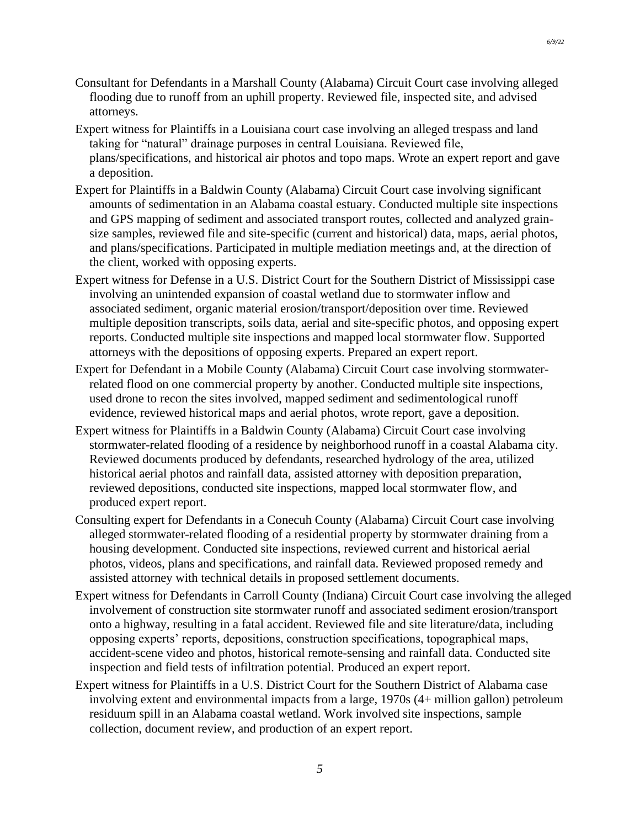- Consultant for Defendants in a Marshall County (Alabama) Circuit Court case involving alleged flooding due to runoff from an uphill property. Reviewed file, inspected site, and advised attorneys.
- Expert witness for Plaintiffs in a Louisiana court case involving an alleged trespass and land taking for "natural" drainage purposes in central Louisiana. Reviewed file, plans/specifications, and historical air photos and topo maps. Wrote an expert report and gave a deposition.
- Expert for Plaintiffs in a Baldwin County (Alabama) Circuit Court case involving significant amounts of sedimentation in an Alabama coastal estuary. Conducted multiple site inspections and GPS mapping of sediment and associated transport routes, collected and analyzed grainsize samples, reviewed file and site-specific (current and historical) data, maps, aerial photos, and plans/specifications. Participated in multiple mediation meetings and, at the direction of the client, worked with opposing experts.
- Expert witness for Defense in a U.S. District Court for the Southern District of Mississippi case involving an unintended expansion of coastal wetland due to stormwater inflow and associated sediment, organic material erosion/transport/deposition over time. Reviewed multiple deposition transcripts, soils data, aerial and site-specific photos, and opposing expert reports. Conducted multiple site inspections and mapped local stormwater flow. Supported attorneys with the depositions of opposing experts. Prepared an expert report.
- Expert for Defendant in a Mobile County (Alabama) Circuit Court case involving stormwaterrelated flood on one commercial property by another. Conducted multiple site inspections, used drone to recon the sites involved, mapped sediment and sedimentological runoff evidence, reviewed historical maps and aerial photos, wrote report, gave a deposition.
- Expert witness for Plaintiffs in a Baldwin County (Alabama) Circuit Court case involving stormwater-related flooding of a residence by neighborhood runoff in a coastal Alabama city. Reviewed documents produced by defendants, researched hydrology of the area, utilized historical aerial photos and rainfall data, assisted attorney with deposition preparation, reviewed depositions, conducted site inspections, mapped local stormwater flow, and produced expert report.
- Consulting expert for Defendants in a Conecuh County (Alabama) Circuit Court case involving alleged stormwater-related flooding of a residential property by stormwater draining from a housing development. Conducted site inspections, reviewed current and historical aerial photos, videos, plans and specifications, and rainfall data. Reviewed proposed remedy and assisted attorney with technical details in proposed settlement documents.
- Expert witness for Defendants in Carroll County (Indiana) Circuit Court case involving the alleged involvement of construction site stormwater runoff and associated sediment erosion/transport onto a highway, resulting in a fatal accident. Reviewed file and site literature/data, including opposing experts' reports, depositions, construction specifications, topographical maps, accident-scene video and photos, historical remote-sensing and rainfall data. Conducted site inspection and field tests of infiltration potential. Produced an expert report.
- Expert witness for Plaintiffs in a U.S. District Court for the Southern District of Alabama case involving extent and environmental impacts from a large, 1970s (4+ million gallon) petroleum residuum spill in an Alabama coastal wetland. Work involved site inspections, sample collection, document review, and production of an expert report.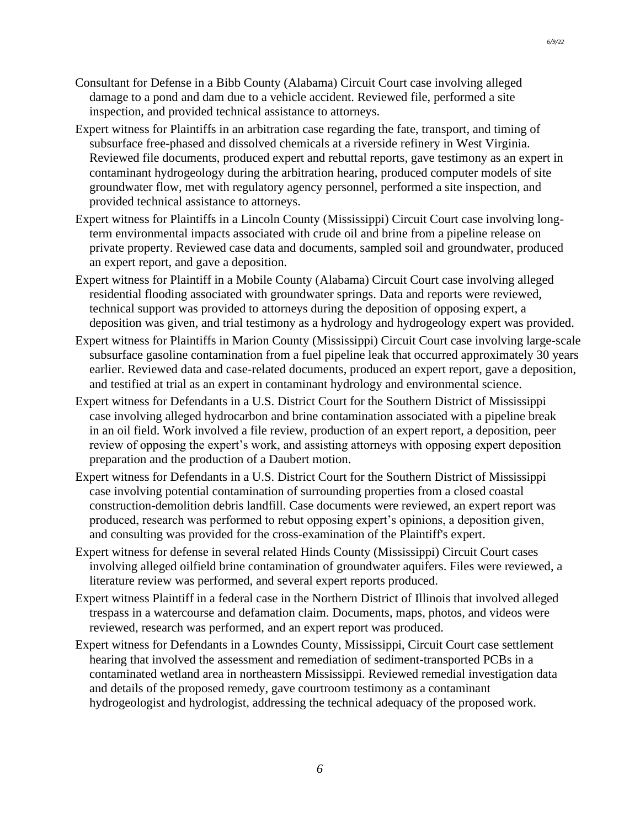- Consultant for Defense in a Bibb County (Alabama) Circuit Court case involving alleged damage to a pond and dam due to a vehicle accident. Reviewed file, performed a site inspection, and provided technical assistance to attorneys.
- Expert witness for Plaintiffs in an arbitration case regarding the fate, transport, and timing of subsurface free-phased and dissolved chemicals at a riverside refinery in West Virginia. Reviewed file documents, produced expert and rebuttal reports, gave testimony as an expert in contaminant hydrogeology during the arbitration hearing, produced computer models of site groundwater flow, met with regulatory agency personnel, performed a site inspection, and provided technical assistance to attorneys.
- Expert witness for Plaintiffs in a Lincoln County (Mississippi) Circuit Court case involving longterm environmental impacts associated with crude oil and brine from a pipeline release on private property. Reviewed case data and documents, sampled soil and groundwater, produced an expert report, and gave a deposition.
- Expert witness for Plaintiff in a Mobile County (Alabama) Circuit Court case involving alleged residential flooding associated with groundwater springs. Data and reports were reviewed, technical support was provided to attorneys during the deposition of opposing expert, a deposition was given, and trial testimony as a hydrology and hydrogeology expert was provided.
- Expert witness for Plaintiffs in Marion County (Mississippi) Circuit Court case involving large-scale subsurface gasoline contamination from a fuel pipeline leak that occurred approximately 30 years earlier. Reviewed data and case-related documents, produced an expert report, gave a deposition, and testified at trial as an expert in contaminant hydrology and environmental science.
- Expert witness for Defendants in a U.S. District Court for the Southern District of Mississippi case involving alleged hydrocarbon and brine contamination associated with a pipeline break in an oil field. Work involved a file review, production of an expert report, a deposition, peer review of opposing the expert's work, and assisting attorneys with opposing expert deposition preparation and the production of a Daubert motion.
- Expert witness for Defendants in a U.S. District Court for the Southern District of Mississippi case involving potential contamination of surrounding properties from a closed coastal construction-demolition debris landfill. Case documents were reviewed, an expert report was produced, research was performed to rebut opposing expert's opinions, a deposition given, and consulting was provided for the cross-examination of the Plaintiff's expert.
- Expert witness for defense in several related Hinds County (Mississippi) Circuit Court cases involving alleged oilfield brine contamination of groundwater aquifers. Files were reviewed, a literature review was performed, and several expert reports produced.
- Expert witness Plaintiff in a federal case in the Northern District of Illinois that involved alleged trespass in a watercourse and defamation claim. Documents, maps, photos, and videos were reviewed, research was performed, and an expert report was produced.
- Expert witness for Defendants in a Lowndes County, Mississippi, Circuit Court case settlement hearing that involved the assessment and remediation of sediment-transported PCBs in a contaminated wetland area in northeastern Mississippi. Reviewed remedial investigation data and details of the proposed remedy, gave courtroom testimony as a contaminant hydrogeologist and hydrologist, addressing the technical adequacy of the proposed work.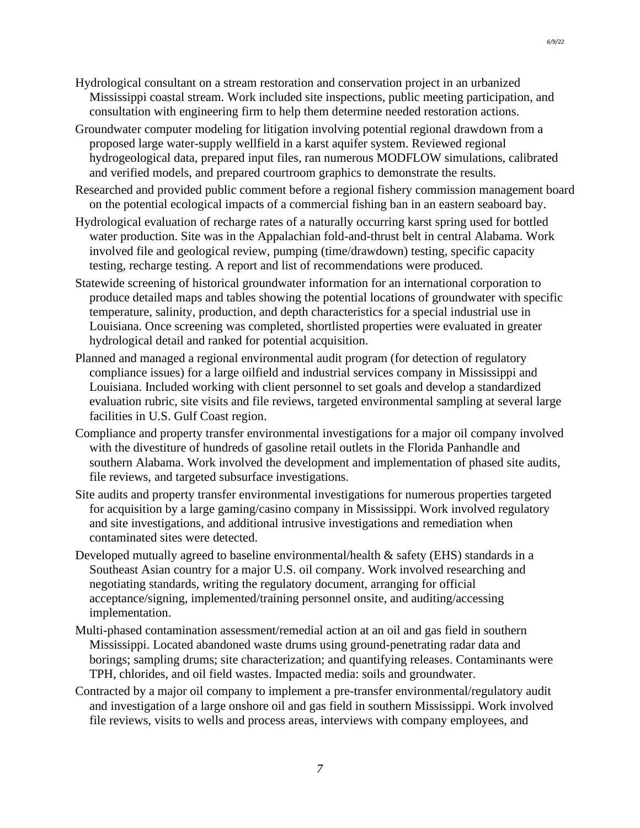- Hydrological consultant on a stream restoration and conservation project in an urbanized Mississippi coastal stream. Work included site inspections, public meeting participation, and consultation with engineering firm to help them determine needed restoration actions.
- Groundwater computer modeling for litigation involving potential regional drawdown from a proposed large water-supply wellfield in a karst aquifer system. Reviewed regional hydrogeological data, prepared input files, ran numerous MODFLOW simulations, calibrated and verified models, and prepared courtroom graphics to demonstrate the results.
- Researched and provided public comment before a regional fishery commission management board on the potential ecological impacts of a commercial fishing ban in an eastern seaboard bay.
- Hydrological evaluation of recharge rates of a naturally occurring karst spring used for bottled water production. Site was in the Appalachian fold-and-thrust belt in central Alabama. Work involved file and geological review, pumping (time/drawdown) testing, specific capacity testing, recharge testing. A report and list of recommendations were produced.
- Statewide screening of historical groundwater information for an international corporation to produce detailed maps and tables showing the potential locations of groundwater with specific temperature, salinity, production, and depth characteristics for a special industrial use in Louisiana. Once screening was completed, shortlisted properties were evaluated in greater hydrological detail and ranked for potential acquisition.
- Planned and managed a regional environmental audit program (for detection of regulatory compliance issues) for a large oilfield and industrial services company in Mississippi and Louisiana. Included working with client personnel to set goals and develop a standardized evaluation rubric, site visits and file reviews, targeted environmental sampling at several large facilities in U.S. Gulf Coast region.
- Compliance and property transfer environmental investigations for a major oil company involved with the divestiture of hundreds of gasoline retail outlets in the Florida Panhandle and southern Alabama. Work involved the development and implementation of phased site audits, file reviews, and targeted subsurface investigations.
- Site audits and property transfer environmental investigations for numerous properties targeted for acquisition by a large gaming/casino company in Mississippi. Work involved regulatory and site investigations, and additional intrusive investigations and remediation when contaminated sites were detected.
- Developed mutually agreed to baseline environmental/health  $\&$  safety (EHS) standards in a Southeast Asian country for a major U.S. oil company. Work involved researching and negotiating standards, writing the regulatory document, arranging for official acceptance/signing, implemented/training personnel onsite, and auditing/accessing implementation.
- Multi-phased contamination assessment/remedial action at an oil and gas field in southern Mississippi. Located abandoned waste drums using ground-penetrating radar data and borings; sampling drums; site characterization; and quantifying releases. Contaminants were TPH, chlorides, and oil field wastes. Impacted media: soils and groundwater.
- Contracted by a major oil company to implement a pre-transfer environmental/regulatory audit and investigation of a large onshore oil and gas field in southern Mississippi. Work involved file reviews, visits to wells and process areas, interviews with company employees, and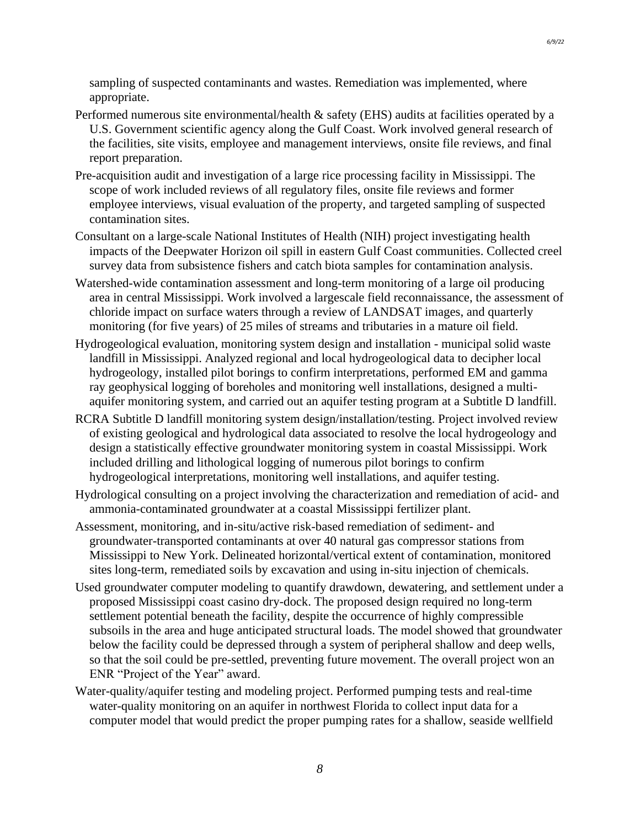sampling of suspected contaminants and wastes. Remediation was implemented, where appropriate.

- Performed numerous site environmental/health & safety (EHS) audits at facilities operated by a U.S. Government scientific agency along the Gulf Coast. Work involved general research of the facilities, site visits, employee and management interviews, onsite file reviews, and final report preparation.
- Pre-acquisition audit and investigation of a large rice processing facility in Mississippi. The scope of work included reviews of all regulatory files, onsite file reviews and former employee interviews, visual evaluation of the property, and targeted sampling of suspected contamination sites.
- Consultant on a large-scale National Institutes of Health (NIH) project investigating health impacts of the Deepwater Horizon oil spill in eastern Gulf Coast communities. Collected creel survey data from subsistence fishers and catch biota samples for contamination analysis.
- Watershed-wide contamination assessment and long-term monitoring of a large oil producing area in central Mississippi. Work involved a largescale field reconnaissance, the assessment of chloride impact on surface waters through a review of LANDSAT images, and quarterly monitoring (for five years) of 25 miles of streams and tributaries in a mature oil field.
- Hydrogeological evaluation, monitoring system design and installation municipal solid waste landfill in Mississippi. Analyzed regional and local hydrogeological data to decipher local hydrogeology, installed pilot borings to confirm interpretations, performed EM and gamma ray geophysical logging of boreholes and monitoring well installations, designed a multiaquifer monitoring system, and carried out an aquifer testing program at a Subtitle D landfill.
- RCRA Subtitle D landfill monitoring system design/installation/testing. Project involved review of existing geological and hydrological data associated to resolve the local hydrogeology and design a statistically effective groundwater monitoring system in coastal Mississippi. Work included drilling and lithological logging of numerous pilot borings to confirm hydrogeological interpretations, monitoring well installations, and aquifer testing.
- Hydrological consulting on a project involving the characterization and remediation of acid- and ammonia-contaminated groundwater at a coastal Mississippi fertilizer plant.
- Assessment, monitoring, and in-situ/active risk-based remediation of sediment- and groundwater-transported contaminants at over 40 natural gas compressor stations from Mississippi to New York. Delineated horizontal/vertical extent of contamination, monitored sites long-term, remediated soils by excavation and using in-situ injection of chemicals.
- Used groundwater computer modeling to quantify drawdown, dewatering, and settlement under a proposed Mississippi coast casino dry-dock. The proposed design required no long-term settlement potential beneath the facility, despite the occurrence of highly compressible subsoils in the area and huge anticipated structural loads. The model showed that groundwater below the facility could be depressed through a system of peripheral shallow and deep wells, so that the soil could be pre-settled, preventing future movement. The overall project won an ENR "Project of the Year" award.
- Water-quality/aquifer testing and modeling project. Performed pumping tests and real-time water-quality monitoring on an aquifer in northwest Florida to collect input data for a computer model that would predict the proper pumping rates for a shallow, seaside wellfield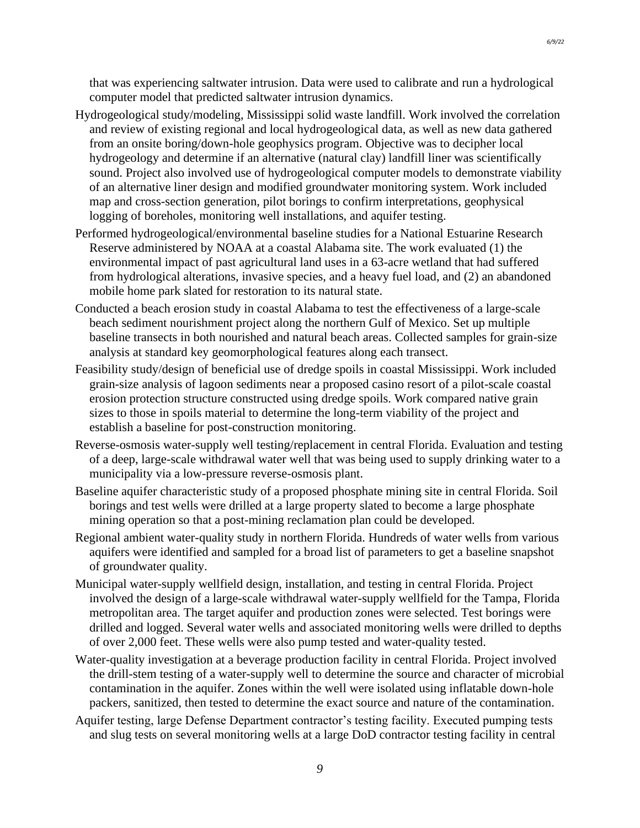- Hydrogeological study/modeling, Mississippi solid waste landfill. Work involved the correlation and review of existing regional and local hydrogeological data, as well as new data gathered from an onsite boring/down-hole geophysics program. Objective was to decipher local hydrogeology and determine if an alternative (natural clay) landfill liner was scientifically sound. Project also involved use of hydrogeological computer models to demonstrate viability of an alternative liner design and modified groundwater monitoring system. Work included map and cross-section generation, pilot borings to confirm interpretations, geophysical logging of boreholes, monitoring well installations, and aquifer testing.
- Performed hydrogeological/environmental baseline studies for a National Estuarine Research Reserve administered by NOAA at a coastal Alabama site. The work evaluated (1) the environmental impact of past agricultural land uses in a 63-acre wetland that had suffered from hydrological alterations, invasive species, and a heavy fuel load, and (2) an abandoned mobile home park slated for restoration to its natural state.
- Conducted a beach erosion study in coastal Alabama to test the effectiveness of a large-scale beach sediment nourishment project along the northern Gulf of Mexico. Set up multiple baseline transects in both nourished and natural beach areas. Collected samples for grain-size analysis at standard key geomorphological features along each transect.
- Feasibility study/design of beneficial use of dredge spoils in coastal Mississippi. Work included grain-size analysis of lagoon sediments near a proposed casino resort of a pilot-scale coastal erosion protection structure constructed using dredge spoils. Work compared native grain sizes to those in spoils material to determine the long-term viability of the project and establish a baseline for post-construction monitoring.
- Reverse-osmosis water-supply well testing/replacement in central Florida. Evaluation and testing of a deep, large-scale withdrawal water well that was being used to supply drinking water to a municipality via a low-pressure reverse-osmosis plant.
- Baseline aquifer characteristic study of a proposed phosphate mining site in central Florida. Soil borings and test wells were drilled at a large property slated to become a large phosphate mining operation so that a post-mining reclamation plan could be developed.
- Regional ambient water-quality study in northern Florida. Hundreds of water wells from various aquifers were identified and sampled for a broad list of parameters to get a baseline snapshot of groundwater quality.
- Municipal water-supply wellfield design, installation, and testing in central Florida. Project involved the design of a large-scale withdrawal water-supply wellfield for the Tampa, Florida metropolitan area. The target aquifer and production zones were selected. Test borings were drilled and logged. Several water wells and associated monitoring wells were drilled to depths of over 2,000 feet. These wells were also pump tested and water-quality tested.
- Water-quality investigation at a beverage production facility in central Florida. Project involved the drill-stem testing of a water-supply well to determine the source and character of microbial contamination in the aquifer. Zones within the well were isolated using inflatable down-hole packers, sanitized, then tested to determine the exact source and nature of the contamination.
- Aquifer testing, large Defense Department contractor's testing facility. Executed pumping tests and slug tests on several monitoring wells at a large DoD contractor testing facility in central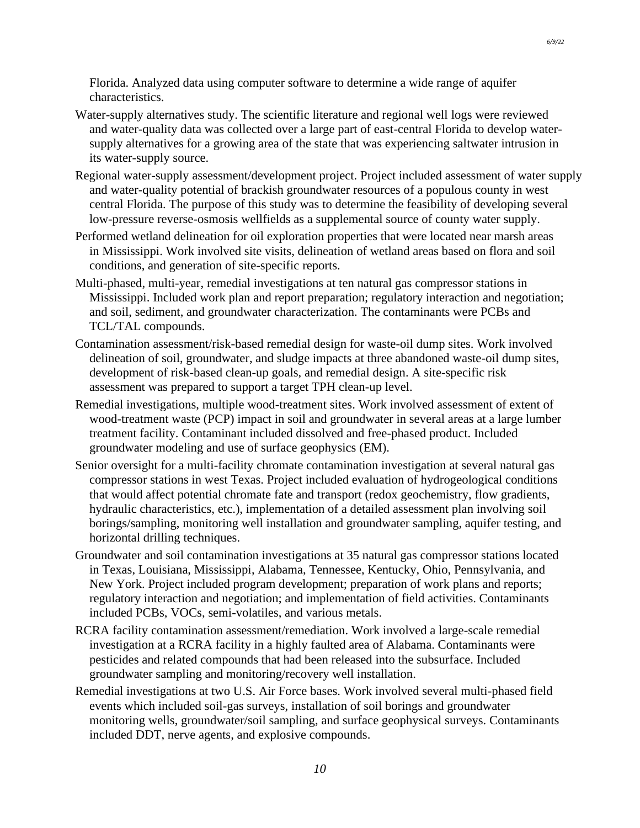Florida. Analyzed data using computer software to determine a wide range of aquifer characteristics.

- Water-supply alternatives study. The scientific literature and regional well logs were reviewed and water-quality data was collected over a large part of east-central Florida to develop watersupply alternatives for a growing area of the state that was experiencing saltwater intrusion in its water-supply source.
- Regional water-supply assessment/development project. Project included assessment of water supply and water-quality potential of brackish groundwater resources of a populous county in west central Florida. The purpose of this study was to determine the feasibility of developing several low-pressure reverse-osmosis wellfields as a supplemental source of county water supply.
- Performed wetland delineation for oil exploration properties that were located near marsh areas in Mississippi. Work involved site visits, delineation of wetland areas based on flora and soil conditions, and generation of site-specific reports.
- Multi-phased, multi-year, remedial investigations at ten natural gas compressor stations in Mississippi. Included work plan and report preparation; regulatory interaction and negotiation; and soil, sediment, and groundwater characterization. The contaminants were PCBs and TCL/TAL compounds.
- Contamination assessment/risk-based remedial design for waste-oil dump sites. Work involved delineation of soil, groundwater, and sludge impacts at three abandoned waste-oil dump sites, development of risk-based clean-up goals, and remedial design. A site-specific risk assessment was prepared to support a target TPH clean-up level.
- Remedial investigations, multiple wood-treatment sites. Work involved assessment of extent of wood-treatment waste (PCP) impact in soil and groundwater in several areas at a large lumber treatment facility. Contaminant included dissolved and free-phased product. Included groundwater modeling and use of surface geophysics (EM).
- Senior oversight for a multi-facility chromate contamination investigation at several natural gas compressor stations in west Texas. Project included evaluation of hydrogeological conditions that would affect potential chromate fate and transport (redox geochemistry, flow gradients, hydraulic characteristics, etc.), implementation of a detailed assessment plan involving soil borings/sampling, monitoring well installation and groundwater sampling, aquifer testing, and horizontal drilling techniques.
- Groundwater and soil contamination investigations at 35 natural gas compressor stations located in Texas, Louisiana, Mississippi, Alabama, Tennessee, Kentucky, Ohio, Pennsylvania, and New York. Project included program development; preparation of work plans and reports; regulatory interaction and negotiation; and implementation of field activities. Contaminants included PCBs, VOCs, semi-volatiles, and various metals.
- RCRA facility contamination assessment/remediation. Work involved a large-scale remedial investigation at a RCRA facility in a highly faulted area of Alabama. Contaminants were pesticides and related compounds that had been released into the subsurface. Included groundwater sampling and monitoring/recovery well installation.
- Remedial investigations at two U.S. Air Force bases. Work involved several multi-phased field events which included soil-gas surveys, installation of soil borings and groundwater monitoring wells, groundwater/soil sampling, and surface geophysical surveys. Contaminants included DDT, nerve agents, and explosive compounds.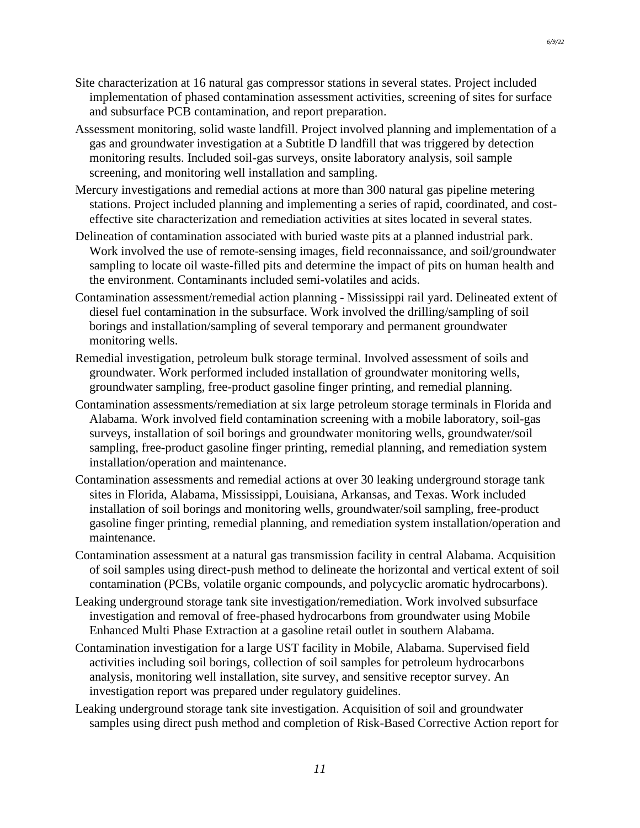- Site characterization at 16 natural gas compressor stations in several states. Project included implementation of phased contamination assessment activities, screening of sites for surface and subsurface PCB contamination, and report preparation.
- Assessment monitoring, solid waste landfill. Project involved planning and implementation of a gas and groundwater investigation at a Subtitle D landfill that was triggered by detection monitoring results. Included soil-gas surveys, onsite laboratory analysis, soil sample screening, and monitoring well installation and sampling.
- Mercury investigations and remedial actions at more than 300 natural gas pipeline metering stations. Project included planning and implementing a series of rapid, coordinated, and costeffective site characterization and remediation activities at sites located in several states.
- Delineation of contamination associated with buried waste pits at a planned industrial park. Work involved the use of remote-sensing images, field reconnaissance, and soil/groundwater sampling to locate oil waste-filled pits and determine the impact of pits on human health and the environment. Contaminants included semi-volatiles and acids.
- Contamination assessment/remedial action planning Mississippi rail yard. Delineated extent of diesel fuel contamination in the subsurface. Work involved the drilling/sampling of soil borings and installation/sampling of several temporary and permanent groundwater monitoring wells.
- Remedial investigation, petroleum bulk storage terminal. Involved assessment of soils and groundwater. Work performed included installation of groundwater monitoring wells, groundwater sampling, free-product gasoline finger printing, and remedial planning.
- Contamination assessments/remediation at six large petroleum storage terminals in Florida and Alabama. Work involved field contamination screening with a mobile laboratory, soil-gas surveys, installation of soil borings and groundwater monitoring wells, groundwater/soil sampling, free-product gasoline finger printing, remedial planning, and remediation system installation/operation and maintenance.
- Contamination assessments and remedial actions at over 30 leaking underground storage tank sites in Florida, Alabama, Mississippi, Louisiana, Arkansas, and Texas. Work included installation of soil borings and monitoring wells, groundwater/soil sampling, free-product gasoline finger printing, remedial planning, and remediation system installation/operation and maintenance.
- Contamination assessment at a natural gas transmission facility in central Alabama. Acquisition of soil samples using direct-push method to delineate the horizontal and vertical extent of soil contamination (PCBs, volatile organic compounds, and polycyclic aromatic hydrocarbons).
- Leaking underground storage tank site investigation/remediation. Work involved subsurface investigation and removal of free-phased hydrocarbons from groundwater using Mobile Enhanced Multi Phase Extraction at a gasoline retail outlet in southern Alabama.
- Contamination investigation for a large UST facility in Mobile, Alabama. Supervised field activities including soil borings, collection of soil samples for petroleum hydrocarbons analysis, monitoring well installation, site survey, and sensitive receptor survey. An investigation report was prepared under regulatory guidelines.
- Leaking underground storage tank site investigation. Acquisition of soil and groundwater samples using direct push method and completion of Risk-Based Corrective Action report for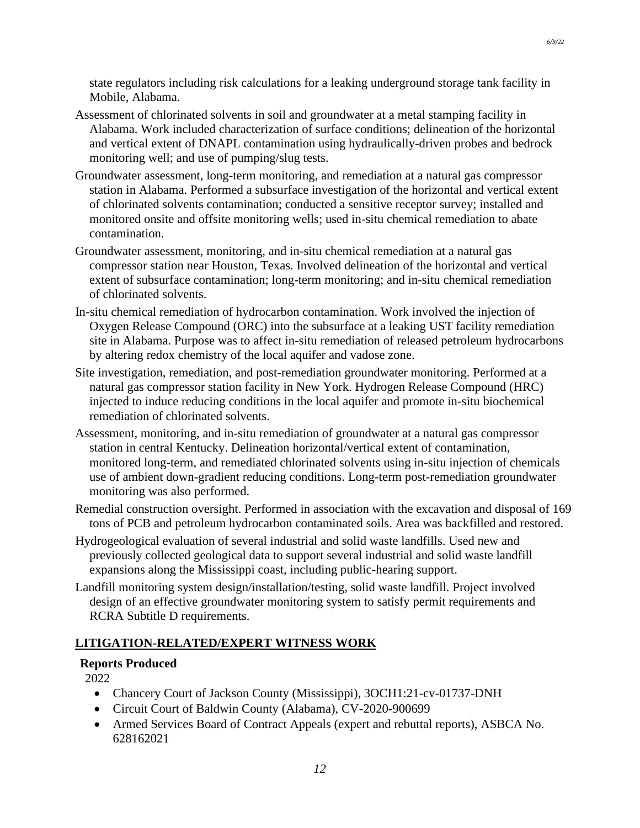state regulators including risk calculations for a leaking underground storage tank facility in Mobile, Alabama.

- Assessment of chlorinated solvents in soil and groundwater at a metal stamping facility in Alabama. Work included characterization of surface conditions; delineation of the horizontal and vertical extent of DNAPL contamination using hydraulically-driven probes and bedrock monitoring well; and use of pumping/slug tests.
- Groundwater assessment, long-term monitoring, and remediation at a natural gas compressor station in Alabama. Performed a subsurface investigation of the horizontal and vertical extent of chlorinated solvents contamination; conducted a sensitive receptor survey; installed and monitored onsite and offsite monitoring wells; used in-situ chemical remediation to abate contamination.
- Groundwater assessment, monitoring, and in-situ chemical remediation at a natural gas compressor station near Houston, Texas. Involved delineation of the horizontal and vertical extent of subsurface contamination; long-term monitoring; and in-situ chemical remediation of chlorinated solvents.
- In-situ chemical remediation of hydrocarbon contamination. Work involved the injection of Oxygen Release Compound (ORC) into the subsurface at a leaking UST facility remediation site in Alabama. Purpose was to affect in-situ remediation of released petroleum hydrocarbons by altering redox chemistry of the local aquifer and vadose zone.
- Site investigation, remediation, and post-remediation groundwater monitoring. Performed at a natural gas compressor station facility in New York. Hydrogen Release Compound (HRC) injected to induce reducing conditions in the local aquifer and promote in-situ biochemical remediation of chlorinated solvents.
- Assessment, monitoring, and in-situ remediation of groundwater at a natural gas compressor station in central Kentucky. Delineation horizontal/vertical extent of contamination, monitored long-term, and remediated chlorinated solvents using in-situ injection of chemicals use of ambient down-gradient reducing conditions. Long-term post-remediation groundwater monitoring was also performed.
- Remedial construction oversight. Performed in association with the excavation and disposal of 169 tons of PCB and petroleum hydrocarbon contaminated soils. Area was backfilled and restored.
- Hydrogeological evaluation of several industrial and solid waste landfills. Used new and previously collected geological data to support several industrial and solid waste landfill expansions along the Mississippi coast, including public-hearing support.
- Landfill monitoring system design/installation/testing, solid waste landfill. Project involved design of an effective groundwater monitoring system to satisfy permit requirements and RCRA Subtitle D requirements.

### **LITIGATION-RELATED/EXPERT WITNESS WORK**

### **Reports Produced**

2022

- Chancery Court of Jackson County (Mississippi), 3OCH1:21-cv-01737-DNH
- Circuit Court of Baldwin County (Alabama), CV-2020-900699
- Armed Services Board of Contract Appeals (expert and rebuttal reports), ASBCA No. 628162021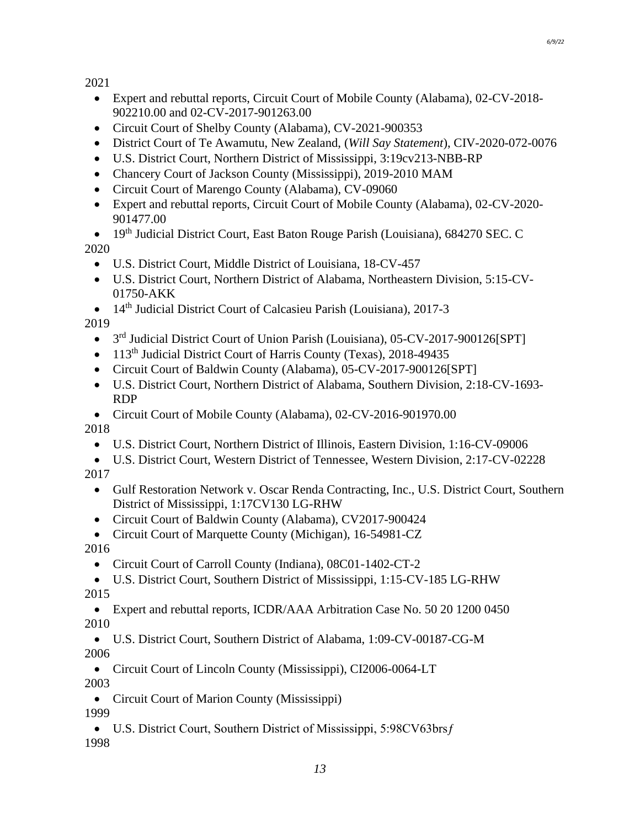2021

- Expert and rebuttal reports, Circuit Court of Mobile County (Alabama), 02-CV-2018- 902210.00 and 02-CV-2017-901263.00
- Circuit Court of Shelby County (Alabama), CV-2021-900353
- District Court of Te Awamutu, New Zealand, (*Will Say Statement*), CIV-2020-072-0076
- U.S. District Court, Northern District of Mississippi, 3:19cv213-NBB-RP
- Chancery Court of Jackson County (Mississippi), 2019-2010 MAM
- Circuit Court of Marengo County (Alabama), CV-09060
- Expert and rebuttal reports, Circuit Court of Mobile County (Alabama), 02-CV-2020- 901477.00
- 19th Judicial District Court, East Baton Rouge Parish (Louisiana), 684270 SEC. C 2020
	- U.S. District Court, Middle District of Louisiana, 18-CV-457
	- U.S. District Court, Northern District of Alabama, Northeastern Division, 5:15-CV-01750-AKK
- 14<sup>th</sup> Judicial District Court of Calcasieu Parish (Louisiana), 2017-3

2019

- 3<sup>rd</sup> Judicial District Court of Union Parish (Louisiana), 05-CV-2017-900126[SPT]
- 113<sup>th</sup> Judicial District Court of Harris County (Texas), 2018-49435
- Circuit Court of Baldwin County (Alabama), 05-CV-2017-900126[SPT]
- U.S. District Court, Northern District of Alabama, Southern Division, 2:18-CV-1693- RDP
- Circuit Court of Mobile County (Alabama), 02-CV-2016-901970.00 2018
	- U.S. District Court, Northern District of Illinois, Eastern Division, 1:16-CV-09006
- U.S. District Court, Western District of Tennessee, Western Division, 2:17-CV-02228 2017
	- Gulf Restoration Network v. Oscar Renda Contracting, Inc., U.S. District Court, Southern District of Mississippi, 1:17CV130 LG-RHW
	- Circuit Court of Baldwin County (Alabama), CV2017-900424
	- Circuit Court of Marquette County (Michigan), 16-54981-CZ
- 2016
	- Circuit Court of Carroll County (Indiana), 08C01-1402-CT-2
- U.S. District Court, Southern District of Mississippi, 1:15-CV-185 LG-RHW 2015
- Expert and rebuttal reports, ICDR/AAA Arbitration Case No. 50 20 1200 0450 2010
- U.S. District Court, Southern District of Alabama, 1:09-CV-00187-CG-M 2006
- Circuit Court of Lincoln County (Mississippi), CI2006-0064-LT 2003
- Circuit Court of Marion County (Mississippi) 1999
- U.S. District Court, Southern District of Mississippi, 5:98CV63brs f 1998

*6/9/22*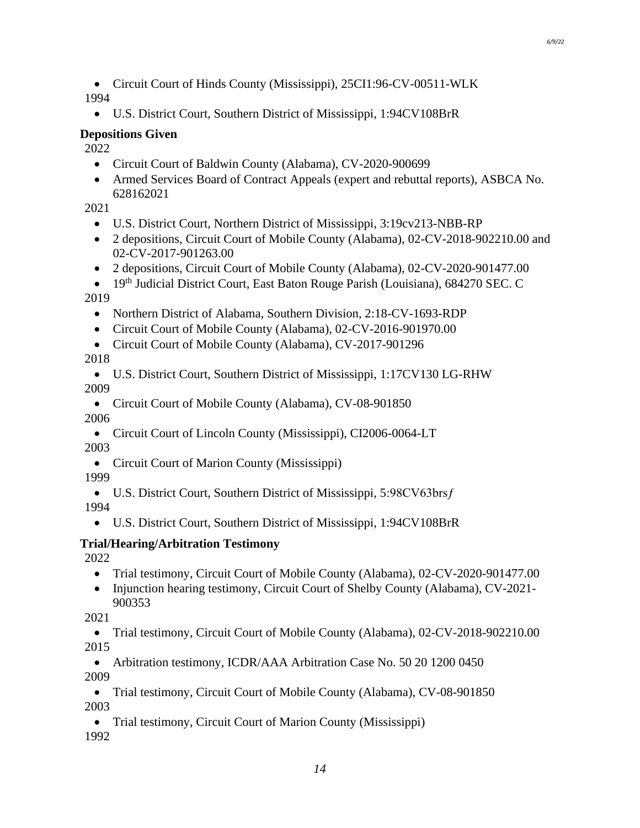- Circuit Court of Hinds County (Mississippi), 25CI1:96-CV-00511-WLK 1994
	- U.S. District Court, Southern District of Mississippi, 1:94CV108BrR

### **Depositions Given**

2022

- Circuit Court of Baldwin County (Alabama), CV-2020-900699
- Armed Services Board of Contract Appeals (expert and rebuttal reports), ASBCA No. 628162021

2021

- U.S. District Court, Northern District of Mississippi, 3:19cv213-NBB-RP
- 2 depositions, Circuit Court of Mobile County (Alabama), 02-CV-2018-902210.00 and 02-CV-2017-901263.00
- 2 depositions, Circuit Court of Mobile County (Alabama), 02-CV-2020-901477.00
- 19<sup>th</sup> Judicial District Court, East Baton Rouge Parish (Louisiana), 684270 SEC. C 2019
	- Northern District of Alabama, Southern Division, 2:18-CV-1693-RDP
	- Circuit Court of Mobile County (Alabama), 02-CV-2016-901970.00
	- Circuit Court of Mobile County (Alabama), CV-2017-901296

2018

• U.S. District Court, Southern District of Mississippi, 1:17CV130 LG-RHW 2009

- Circuit Court of Mobile County (Alabama), CV-08-901850 2006
- Circuit Court of Lincoln County (Mississippi), CI2006-0064-LT 2003
- Circuit Court of Marion County (Mississippi) 1999
- U.S. District Court, Southern District of Mississippi, 5:98CV63brs f 1994
	- U.S. District Court, Southern District of Mississippi, 1:94CV108BrR

# **Trial/Hearing/Arbitration Testimony**

2022

- Trial testimony, Circuit Court of Mobile County (Alabama), 02-CV-2020-901477.00
- Injunction hearing testimony, Circuit Court of Shelby County (Alabama), CV-2021-900353
- 2021

• Trial testimony, Circuit Court of Mobile County (Alabama), 02-CV-2018-902210.00 2015

• Arbitration testimony, ICDR/AAA Arbitration Case No. 50 20 1200 0450 2009

• Trial testimony, Circuit Court of Mobile County (Alabama), CV-08-901850 2003

• Trial testimony, Circuit Court of Marion County (Mississippi)

1992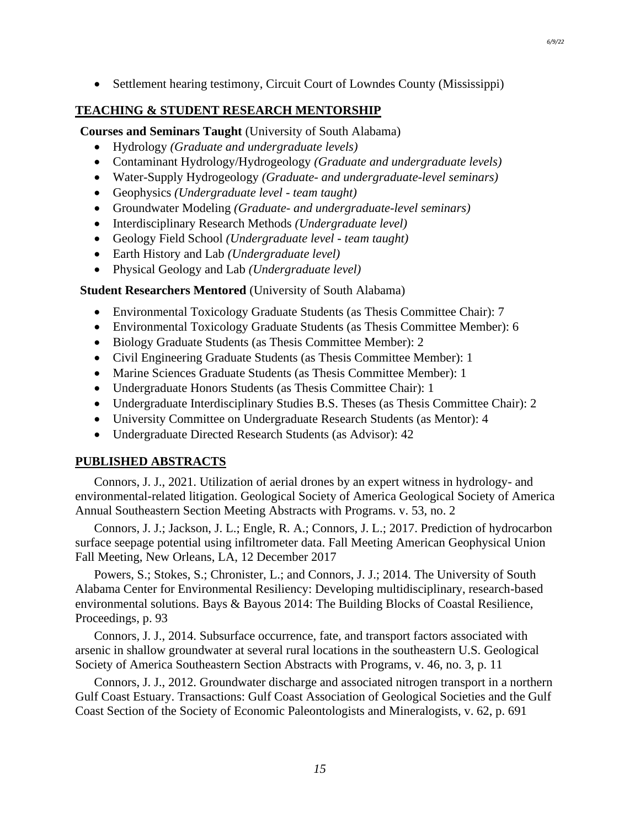• Settlement hearing testimony, Circuit Court of Lowndes County (Mississippi)

### **TEACHING & STUDENT RESEARCH MENTORSHIP**

**Courses and Seminars Taught** (University of South Alabama)

- Hydrology *(Graduate and undergraduate levels)*
- Contaminant Hydrology/Hydrogeology *(Graduate and undergraduate levels)*
- Water-Supply Hydrogeology *(Graduate- and undergraduate-level seminars)*
- Geophysics *(Undergraduate level - team taught)*
- Groundwater Modeling *(Graduate- and undergraduate-level seminars)*
- Interdisciplinary Research Methods *(Undergraduate level)*
- Geology Field School *(Undergraduate level - team taught)*
- Earth History and Lab *(Undergraduate level)*
- Physical Geology and Lab *(Undergraduate level)*

**Student Researchers Mentored** (University of South Alabama)

- Environmental Toxicology Graduate Students (as Thesis Committee Chair): 7
- Environmental Toxicology Graduate Students (as Thesis Committee Member): 6
- Biology Graduate Students (as Thesis Committee Member): 2
- Civil Engineering Graduate Students (as Thesis Committee Member): 1
- Marine Sciences Graduate Students (as Thesis Committee Member): 1
- Undergraduate Honors Students (as Thesis Committee Chair): 1
- Undergraduate Interdisciplinary Studies B.S. Theses (as Thesis Committee Chair): 2
- University Committee on Undergraduate Research Students (as Mentor): 4
- Undergraduate Directed Research Students (as Advisor): 42

### **PUBLISHED ABSTRACTS**

Connors, J. J., 2021. Utilization of aerial drones by an expert witness in hydrology- and environmental-related litigation. Geological Society of America Geological Society of America Annual Southeastern Section Meeting Abstracts with Programs. v. 53, no. 2

Connors, J. J.; Jackson, J. L.; Engle, R. A.; Connors, J. L.; 2017. Prediction of hydrocarbon surface seepage potential using infiltrometer data. Fall Meeting American Geophysical Union Fall Meeting, New Orleans, LA, 12 December 2017

Powers, S.; Stokes, S.; Chronister, L.; and Connors, J. J.; 2014. The University of South Alabama Center for Environmental Resiliency: Developing multidisciplinary, research-based environmental solutions. Bays & Bayous 2014: The Building Blocks of Coastal Resilience, Proceedings, p. 93

Connors, J. J., 2014. Subsurface occurrence, fate, and transport factors associated with arsenic in shallow groundwater at several rural locations in the southeastern U.S. Geological Society of America Southeastern Section Abstracts with Programs, v. 46, no. 3, p. 11

Connors, J. J., 2012. Groundwater discharge and associated nitrogen transport in a northern Gulf Coast Estuary. Transactions: Gulf Coast Association of Geological Societies and the Gulf Coast Section of the Society of Economic Paleontologists and Mineralogists, v. 62, p. 691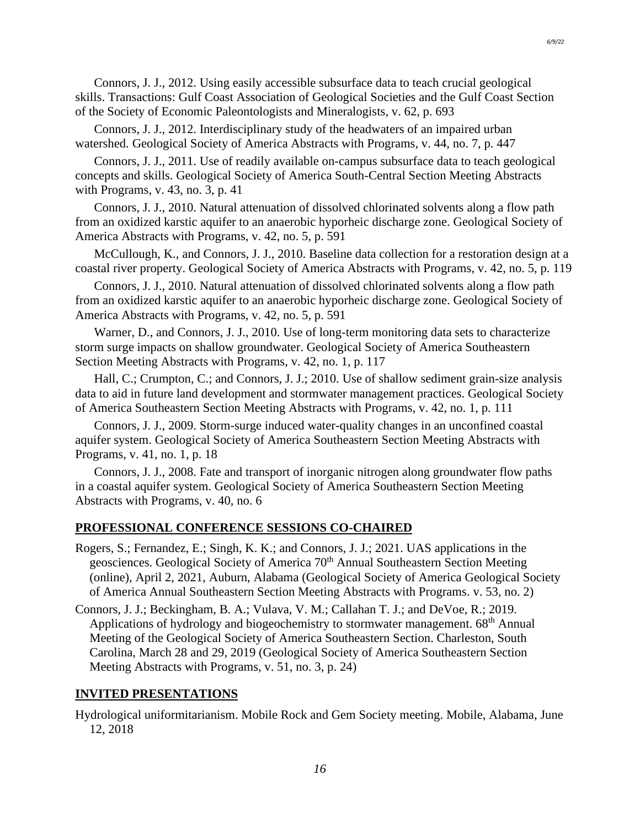Connors, J. J., 2012. Using easily accessible subsurface data to teach crucial geological skills. Transactions: Gulf Coast Association of Geological Societies and the Gulf Coast Section of the Society of Economic Paleontologists and Mineralogists, v. 62, p. 693

Connors, J. J., 2012. Interdisciplinary study of the headwaters of an impaired urban watershed. Geological Society of America Abstracts with Programs, v. 44, no. 7, p. 447

Connors, J. J., 2011. Use of readily available on-campus subsurface data to teach geological concepts and skills. Geological Society of America South-Central Section Meeting Abstracts with Programs, v. 43, no. 3, p. 41

Connors, J. J., 2010. Natural attenuation of dissolved chlorinated solvents along a flow path from an oxidized karstic aquifer to an anaerobic hyporheic discharge zone. Geological Society of America Abstracts with Programs, v. 42, no. 5, p. 591

McCullough, K., and Connors, J. J., 2010. Baseline data collection for a restoration design at a coastal river property. Geological Society of America Abstracts with Programs, v. 42, no. 5, p. 119

Connors, J. J., 2010. Natural attenuation of dissolved chlorinated solvents along a flow path from an oxidized karstic aquifer to an anaerobic hyporheic discharge zone. Geological Society of America Abstracts with Programs, v. 42, no. 5, p. 591

Warner, D., and Connors, J. J., 2010. Use of long-term monitoring data sets to characterize storm surge impacts on shallow groundwater. Geological Society of America Southeastern Section Meeting Abstracts with Programs, v. 42, no. 1, p. 117

Hall, C.; Crumpton, C.; and Connors, J. J.; 2010. Use of shallow sediment grain-size analysis data to aid in future land development and stormwater management practices. Geological Society of America Southeastern Section Meeting Abstracts with Programs, v. 42, no. 1, p. 111

Connors, J. J., 2009. Storm-surge induced water-quality changes in an unconfined coastal aquifer system. Geological Society of America Southeastern Section Meeting Abstracts with Programs, v. 41, no. 1, p. 18

Connors, J. J., 2008. Fate and transport of inorganic nitrogen along groundwater flow paths in a coastal aquifer system. Geological Society of America Southeastern Section Meeting Abstracts with Programs, v. 40, no. 6

### **PROFESSIONAL CONFERENCE SESSIONS CO-CHAIRED**

Rogers, S.; Fernandez, E.; Singh, K. K.; and Connors, J. J.; 2021. UAS applications in the geosciences. Geological Society of America 70<sup>th</sup> Annual Southeastern Section Meeting (online), April 2, 2021, Auburn, Alabama (Geological Society of America Geological Society of America Annual Southeastern Section Meeting Abstracts with Programs. v. 53, no. 2)

Connors, J. J.; Beckingham, B. A.; Vulava, V. M.; Callahan T. J.; and DeVoe, R.; 2019. Applications of hydrology and biogeochemistry to stormwater management. 68<sup>th</sup> Annual Meeting of the Geological Society of America Southeastern Section. Charleston, South Carolina, March 28 and 29, 2019 (Geological Society of America Southeastern Section Meeting Abstracts with Programs, v. 51, no. 3, p. 24)

#### **INVITED PRESENTATIONS**

Hydrological uniformitarianism. Mobile Rock and Gem Society meeting. Mobile, Alabama, June 12, 2018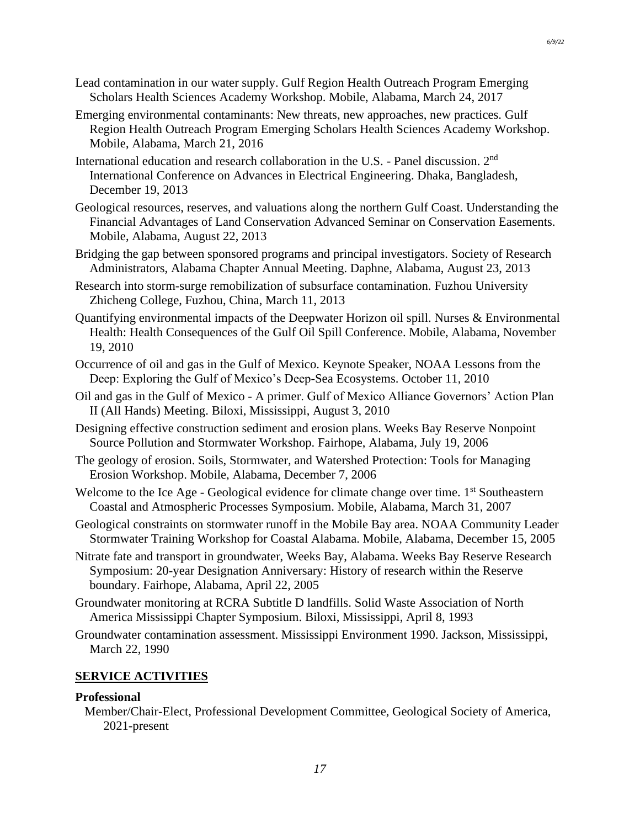- Emerging environmental contaminants: New threats, new approaches, new practices. Gulf Region Health Outreach Program Emerging Scholars Health Sciences Academy Workshop. Mobile, Alabama, March 21, 2016
- International education and research collaboration in the U.S. Panel discussion. 2nd International Conference on Advances in Electrical Engineering. Dhaka, Bangladesh, December 19, 2013
- Geological resources, reserves, and valuations along the northern Gulf Coast. Understanding the Financial Advantages of Land Conservation Advanced Seminar on Conservation Easements. Mobile, Alabama, August 22, 2013
- Bridging the gap between sponsored programs and principal investigators. Society of Research Administrators, Alabama Chapter Annual Meeting. Daphne, Alabama, August 23, 2013
- Research into storm-surge remobilization of subsurface contamination. Fuzhou University Zhicheng College, Fuzhou, China, March 11, 2013
- Quantifying environmental impacts of the Deepwater Horizon oil spill. Nurses & Environmental Health: Health Consequences of the Gulf Oil Spill Conference. Mobile, Alabama, November 19, 2010
- Occurrence of oil and gas in the Gulf of Mexico. Keynote Speaker, NOAA Lessons from the Deep: Exploring the Gulf of Mexico's Deep-Sea Ecosystems. October 11, 2010
- Oil and gas in the Gulf of Mexico A primer. Gulf of Mexico Alliance Governors' Action Plan II (All Hands) Meeting. Biloxi, Mississippi, August 3, 2010
- Designing effective construction sediment and erosion plans. Weeks Bay Reserve Nonpoint Source Pollution and Stormwater Workshop. Fairhope, Alabama, July 19, 2006
- The geology of erosion. Soils, Stormwater, and Watershed Protection: Tools for Managing Erosion Workshop. Mobile, Alabama, December 7, 2006
- Welcome to the Ice Age Geological evidence for climate change over time. 1<sup>st</sup> Southeastern Coastal and Atmospheric Processes Symposium. Mobile, Alabama, March 31, 2007
- Geological constraints on stormwater runoff in the Mobile Bay area. NOAA Community Leader Stormwater Training Workshop for Coastal Alabama. Mobile, Alabama, December 15, 2005
- Nitrate fate and transport in groundwater, Weeks Bay, Alabama. Weeks Bay Reserve Research Symposium: 20-year Designation Anniversary: History of research within the Reserve boundary. Fairhope, Alabama, April 22, 2005
- Groundwater monitoring at RCRA Subtitle D landfills. Solid Waste Association of North America Mississippi Chapter Symposium. Biloxi, Mississippi, April 8, 1993
- Groundwater contamination assessment. Mississippi Environment 1990. Jackson, Mississippi, March 22, 1990

## **SERVICE ACTIVITIES**

### **Professional**

Member/Chair-Elect, Professional Development Committee, Geological Society of America, 2021-present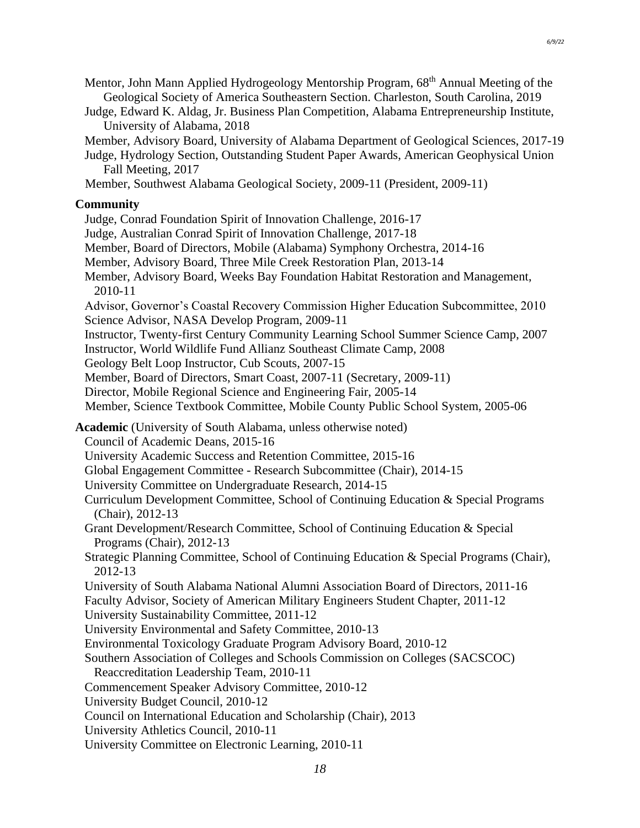- Mentor, John Mann Applied Hydrogeology Mentorship Program, 68<sup>th</sup> Annual Meeting of the Geological Society of America Southeastern Section. Charleston, South Carolina, 2019
- Judge, Edward K. Aldag, Jr. Business Plan Competition, Alabama Entrepreneurship Institute, University of Alabama, 2018
- Member, Advisory Board, University of Alabama Department of Geological Sciences, 2017-19
- Judge, Hydrology Section, Outstanding Student Paper Awards, American Geophysical Union Fall Meeting, 2017
- Member, Southwest Alabama Geological Society, 2009-11 (President, 2009-11)

#### **Community**

- Judge, Conrad Foundation Spirit of Innovation Challenge, 2016-17
- Judge, Australian Conrad Spirit of Innovation Challenge, 2017-18
- Member, Board of Directors, Mobile (Alabama) Symphony Orchestra, 2014-16
- Member, Advisory Board, Three Mile Creek Restoration Plan, 2013-14
- Member, Advisory Board, Weeks Bay Foundation Habitat Restoration and Management, 2010-11
- Advisor, Governor's Coastal Recovery Commission Higher Education Subcommittee, 2010 Science Advisor, NASA Develop Program, 2009-11
- Instructor, Twenty-first Century Community Learning School Summer Science Camp, 2007
- Instructor, World Wildlife Fund Allianz Southeast Climate Camp, 2008
- Geology Belt Loop Instructor, Cub Scouts, 2007-15
- Member, Board of Directors, Smart Coast, 2007-11 (Secretary, 2009-11)
- Director, Mobile Regional Science and Engineering Fair, 2005-14
- Member, Science Textbook Committee, Mobile County Public School System, 2005-06
- **Academic** (University of South Alabama, unless otherwise noted)
	- Council of Academic Deans, 2015-16
	- University Academic Success and Retention Committee, 2015-16
	- Global Engagement Committee Research Subcommittee (Chair), 2014-15
	- University Committee on Undergraduate Research, 2014-15
	- Curriculum Development Committee, School of Continuing Education & Special Programs (Chair), 2012-13
	- Grant Development/Research Committee, School of Continuing Education & Special Programs (Chair), 2012-13
	- Strategic Planning Committee, School of Continuing Education & Special Programs (Chair), 2012-13
	- University of South Alabama National Alumni Association Board of Directors, 2011-16
	- Faculty Advisor, Society of American Military Engineers Student Chapter, 2011-12
	- University Sustainability Committee, 2011-12
	- University Environmental and Safety Committee, 2010-13
	- Environmental Toxicology Graduate Program Advisory Board, 2010-12
	- Southern Association of Colleges and Schools Commission on Colleges (SACSCOC)
	- Reaccreditation Leadership Team, 2010-11
	- Commencement Speaker Advisory Committee, 2010-12
	- University Budget Council, 2010-12
	- Council on International Education and Scholarship (Chair), 2013
	- University Athletics Council, 2010-11
	- University Committee on Electronic Learning, 2010-11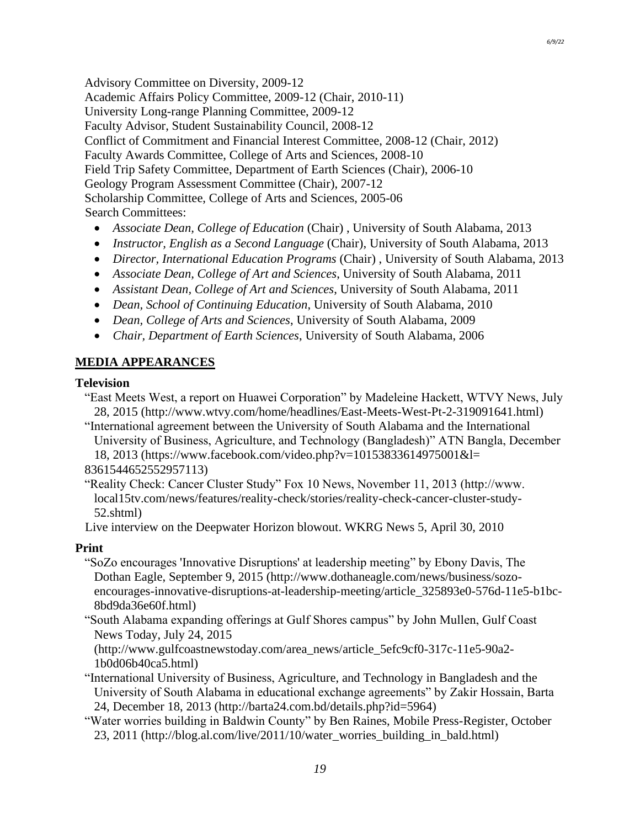Advisory Committee on Diversity, 2009-12 Academic Affairs Policy Committee, 2009-12 (Chair, 2010-11) University Long-range Planning Committee, 2009-12 Faculty Advisor, Student Sustainability Council, 2008-12 Conflict of Commitment and Financial Interest Committee, 2008-12 (Chair, 2012) Faculty Awards Committee, College of Arts and Sciences, 2008-10 Field Trip Safety Committee, Department of Earth Sciences (Chair), 2006-10 Geology Program Assessment Committee (Chair), 2007-12 Scholarship Committee, College of Arts and Sciences, 2005-06 Search Committees:

- *Associate Dean, College of Education* (Chair) , University of South Alabama, 2013
- *Instructor, English as a Second Language* (Chair), University of South Alabama, 2013
- *Director, International Education Programs* (Chair) , University of South Alabama, 2013
- *Associate Dean, College of Art and Sciences*, University of South Alabama, 2011
- *Assistant Dean, College of Art and Sciences*, University of South Alabama, 2011
- *Dean, School of Continuing Education*, University of South Alabama, 2010
- *Dean, College of Arts and Sciences*, University of South Alabama, 2009
- *Chair, Department of Earth Sciences*, University of South Alabama, 2006

### **MEDIA APPEARANCES**

#### **Television**

"East Meets West, a report on Huawei Corporation" by Madeleine Hackett, WTVY News, July 28, 2015 (http://www.wtvy.com/home/headlines/East-Meets-West-Pt-2-319091641.html)

"International agreement between the University of South Alabama and the International University of Business, Agriculture, and Technology (Bangladesh)" ATN Bangla, December 18, 2013 (https://www.facebook.com/video.php?v=10153833614975001&l=

8361544652552957113)

"Reality Check: Cancer Cluster Study" Fox 10 News, November 11, 2013 (http://www. local15tv.com/news/features/reality-check/stories/reality-check-cancer-cluster-study-52.shtml)

Live interview on the Deepwater Horizon blowout. WKRG News 5, April 30, 2010

### **Print**

"SoZo encourages 'Innovative Disruptions' at leadership meeting" by Ebony Davis, The Dothan Eagle, September 9, 2015 (http://www.dothaneagle.com/news/business/sozoencourages-innovative-disruptions-at-leadership-meeting/article\_325893e0-576d-11e5-b1bc-8bd9da36e60f.html)

"South Alabama expanding offerings at Gulf Shores campus" by John Mullen, Gulf Coast News Today, July 24, 2015

(http://www.gulfcoastnewstoday.com/area\_news/article\_5efc9cf0-317c-11e5-90a2- 1b0d06b40ca5.html)

- "International University of Business, Agriculture, and Technology in Bangladesh and the University of South Alabama in educational exchange agreements" by Zakir Hossain, Barta 24, December 18, 2013 (http://barta24.com.bd/details.php?id=5964)
- "Water worries building in Baldwin County" by Ben Raines, Mobile Press-Register, October 23, 2011 (http://blog.al.com/live/2011/10/water\_worries\_building\_in\_bald.html)